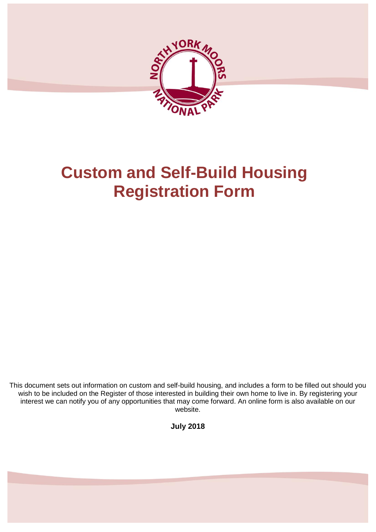

# **Custom and Self-Build Housing Registration Form**

This document sets out information on custom and self-build housing, and includes a form to be filled out should you wish to be included on the Register of those interested in building their own home to live in. By registering your interest we can notify you of any opportunities that may come forward. An online form is also available on our website.

**July 2018**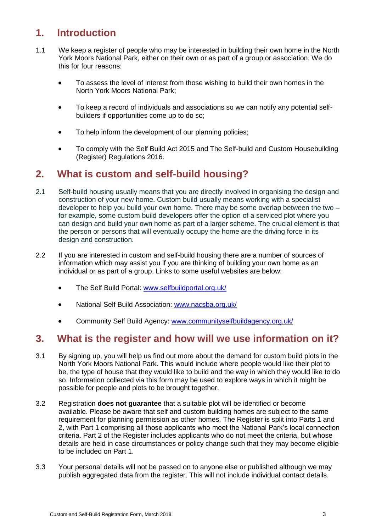## **1. Introduction**

- 1.1 We keep a register of people who may be interested in building their own home in the North York Moors National Park, either on their own or as part of a group or association. We do this for four reasons:
	- To assess the level of interest from those wishing to build their own homes in the North York Moors National Park;
	- To keep a record of individuals and associations so we can notify any potential selfbuilders if opportunities come up to do so;
	- To help inform the development of our planning policies;
	- To comply with the Self Build Act 2015 and The Self-build and Custom Housebuilding (Register) Regulations 2016.

## **2. What is custom and self-build housing?**

- 2.1 Self-build housing usually means that you are directly involved in organising the design and construction of your new home. Custom build usually means working with a specialist developer to help you build your own home. There may be some overlap between the two  $$ for example, some custom build developers offer the option of a serviced plot where you can design and build your own home as part of a larger scheme. The crucial element is that the person or persons that will eventually occupy the home are the driving force in its design and construction.
- 2.2 If you are interested in custom and self-build housing there are a number of sources of information which may assist you if you are thinking of building your own home as an individual or as part of a group. Links to some useful websites are below:
	- The Self Build Portal: [www.selfbuildportal.org.uk/](http://www.selfbuildportal.org.uk/)
	- National Self Build Association: [www.nacsba.org.uk/](http://www.nacsba.org.uk/)
	- Community Self Build Agency: [www.communityselfbuildagency.org.uk/](http://www.communityselfbuildagency.org.uk/)

## **3. What is the register and how will we use information on it?**

- 3.1 By signing up, you will help us find out more about the demand for custom build plots in the North York Moors National Park. This would include where people would like their plot to be, the type of house that they would like to build and the way in which they would like to do so. Information collected via this form may be used to explore ways in which it might be possible for people and plots to be brought together.
- 3.2 Registration **does not guarantee** that a suitable plot will be identified or become available. Please be aware that self and custom building homes are subject to the same requirement for planning permission as other homes. The Register is split into Parts 1 and 2, with Part 1 comprising all those applicants who meet the National Park's local connection criteria. Part 2 of the Register includes applicants who do not meet the criteria, but whose details are held in case circumstances or policy change such that they may become eligible to be included on Part 1.
- 3.3 Your personal details will not be passed on to anyone else or published although we may publish aggregated data from the register. This will not include individual contact details.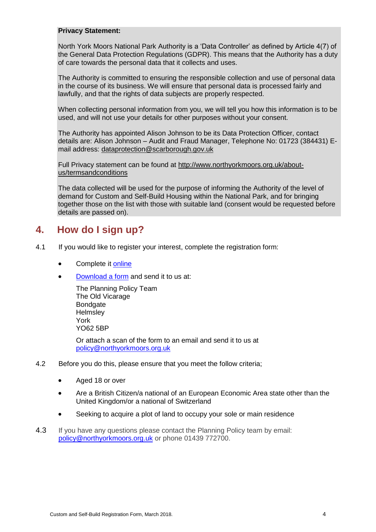#### **Privacy Statement:**

North York Moors National Park Authority is a 'Data Controller' as defined by Article 4(7) of the General Data Protection Regulations (GDPR). This means that the Authority has a duty of care towards the personal data that it collects and uses.

The Authority is committed to ensuring the responsible collection and use of personal data in the course of its business. We will ensure that personal data is processed fairly and lawfully, and that the rights of data subjects are properly respected.

When collecting personal information from you, we will tell you how this information is to be used, and will not use your details for other purposes without your consent.

The Authority has appointed Alison Johnson to be its Data Protection Officer, contact details are: Alison Johnson – Audit and Fraud Manager, Telephone No: 01723 (384431) Email address: [dataprotection@scarborough.gov.uk](mailto:dataprotection@scarborough.gov.uk)

Full Privacy statement can be found at [http://www.northyorkmoors.org.uk/about](http://www.northyorkmoors.org.uk/about-us/termsandconditions)[us/termsandconditions](http://www.northyorkmoors.org.uk/about-us/termsandconditions)

The data collected will be used for the purpose of informing the Authority of the level of demand for Custom and Self-Build Housing within the National Park, and for bringing together those on the list with those with suitable land (consent would be requested before details are passed on).

## **4. How do I sign up?**

- 4.1 If you would like to register your interest, complete the registration form:
	- Complete it [online](http://www.northyorkmoors.org.uk/planning/framework/custom-and-self-build-register/)
	- [Download a form](http://www.northyorkmoors.org.uk/planning/framework/custom-and-self-build-register/) and send it to us at:

The Planning Policy Team The Old Vicarage Bondgate **Helmsley** York YO62 5BP

Or attach a scan of the form to an email and send it to us at [policy@northyorkmoors.org.uk](mailto:policy@northyorkmoors.org.uk)

- 4.2 Before you do this, please ensure that you meet the follow criteria;
	- Aged 18 or over
	- Are a British Citizen/a national of an European Economic Area state other than the United Kingdom/or a national of Switzerland
	- Seeking to acquire a plot of land to occupy your sole or main residence
- 4.3 If you have any questions please contact the Planning Policy team by email: [policy@northyorkmoors.org.uk](mailto:policy@northyorkmoors.org.uk) or phone 01439 772700.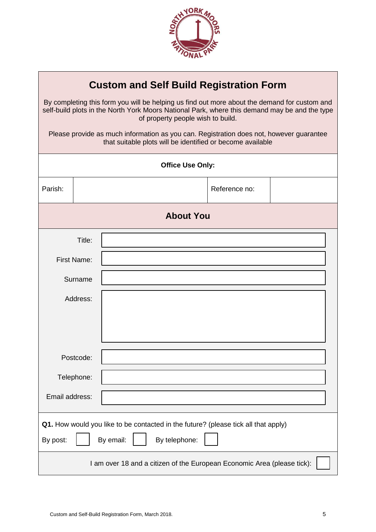

| <b>Custom and Self Build Registration Form</b>                                                                                                                                                                                     |          |                  |               |  |  |
|------------------------------------------------------------------------------------------------------------------------------------------------------------------------------------------------------------------------------------|----------|------------------|---------------|--|--|
| By completing this form you will be helping us find out more about the demand for custom and<br>self-build plots in the North York Moors National Park, where this demand may be and the type<br>of property people wish to build. |          |                  |               |  |  |
| Please provide as much information as you can. Registration does not, however guarantee<br>that suitable plots will be identified or become available                                                                              |          |                  |               |  |  |
| <b>Office Use Only:</b>                                                                                                                                                                                                            |          |                  |               |  |  |
| Parish:                                                                                                                                                                                                                            |          |                  | Reference no: |  |  |
|                                                                                                                                                                                                                                    |          | <b>About You</b> |               |  |  |
|                                                                                                                                                                                                                                    | Title:   |                  |               |  |  |
| <b>First Name:</b>                                                                                                                                                                                                                 |          |                  |               |  |  |
| Surname                                                                                                                                                                                                                            |          |                  |               |  |  |
|                                                                                                                                                                                                                                    | Address: |                  |               |  |  |
|                                                                                                                                                                                                                                    |          |                  |               |  |  |
|                                                                                                                                                                                                                                    |          |                  |               |  |  |
| Postcode:                                                                                                                                                                                                                          |          |                  |               |  |  |
| Telephone:                                                                                                                                                                                                                         |          |                  |               |  |  |
| Email address:                                                                                                                                                                                                                     |          |                  |               |  |  |
| Q1. How would you like to be contacted in the future? (please tick all that apply)<br>By email:<br>By telephone:<br>By post:                                                                                                       |          |                  |               |  |  |
| I am over 18 and a citizen of the European Economic Area (please tick):                                                                                                                                                            |          |                  |               |  |  |

Г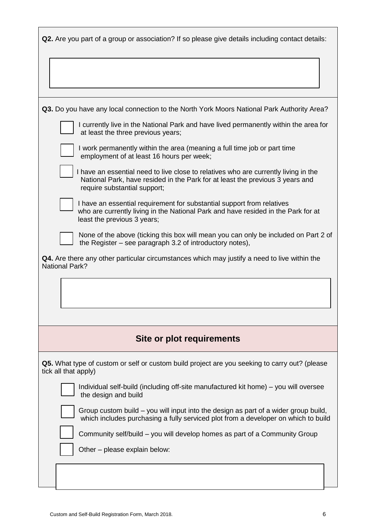| <b>Q2.</b> Are you part of a group or association? If so please give details including contact details:                                                                                              |
|------------------------------------------------------------------------------------------------------------------------------------------------------------------------------------------------------|
|                                                                                                                                                                                                      |
| <b>Q3.</b> Do you have any local connection to the North York Moors National Park Authority Area?                                                                                                    |
| I currently live in the National Park and have lived permanently within the area for<br>at least the three previous years;                                                                           |
| I work permanently within the area (meaning a full time job or part time<br>employment of at least 16 hours per week;                                                                                |
| I have an essential need to live close to relatives who are currently living in the<br>National Park, have resided in the Park for at least the previous 3 years and<br>require substantial support; |
| I have an essential requirement for substantial support from relatives<br>who are currently living in the National Park and have resided in the Park for at<br>least the previous 3 years;           |
| None of the above (ticking this box will mean you can only be included on Part 2 of<br>the Register – see paragraph 3.2 of introductory notes),                                                      |
| <b>Q4.</b> Are there any other particular circumstances which may justify a need to live within the<br><b>National Park?</b>                                                                         |
|                                                                                                                                                                                                      |
|                                                                                                                                                                                                      |
| Site or plot requirements                                                                                                                                                                            |
| Q5. What type of custom or self or custom build project are you seeking to carry out? (please<br>tick all that apply)                                                                                |
| Individual self-build (including off-site manufactured kit home) – you will oversee<br>the design and build                                                                                          |
| Group custom build – you will input into the design as part of a wider group build,<br>which includes purchasing a fully serviced plot from a developer on which to build                            |
| Community self/build – you will develop homes as part of a Community Group                                                                                                                           |
| Other - please explain below:                                                                                                                                                                        |
|                                                                                                                                                                                                      |
|                                                                                                                                                                                                      |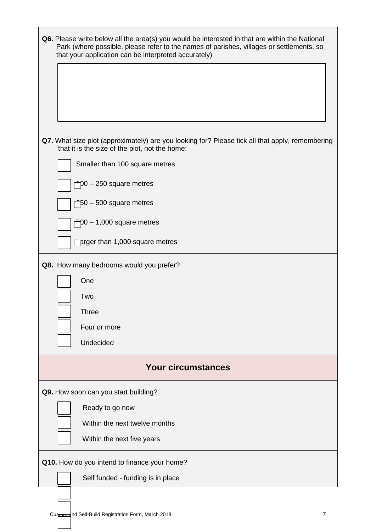| <b>Q6.</b> Please write below all the area(s) you would be interested in that are within the National<br>Park (where possible, please refer to the names of parishes, villages or settlements, so<br>that your application can be interpreted accurately) |  |  |  |  |
|-----------------------------------------------------------------------------------------------------------------------------------------------------------------------------------------------------------------------------------------------------------|--|--|--|--|
| Q7. What size plot (approximately) are you looking for? Please tick all that apply, remembering<br>that it is the size of the plot, not the home:                                                                                                         |  |  |  |  |
| Smaller than 100 square metres                                                                                                                                                                                                                            |  |  |  |  |
| $D = 250$ square metres                                                                                                                                                                                                                                   |  |  |  |  |
| 50 - 500 square metres                                                                                                                                                                                                                                    |  |  |  |  |
| $-00 - 1,000$ square metres                                                                                                                                                                                                                               |  |  |  |  |
| prger than 1,000 square metres                                                                                                                                                                                                                            |  |  |  |  |
| Q8. How many bedrooms would you prefer?                                                                                                                                                                                                                   |  |  |  |  |
| One                                                                                                                                                                                                                                                       |  |  |  |  |
| Two                                                                                                                                                                                                                                                       |  |  |  |  |
| Three                                                                                                                                                                                                                                                     |  |  |  |  |
| Four or more                                                                                                                                                                                                                                              |  |  |  |  |
| Undecided                                                                                                                                                                                                                                                 |  |  |  |  |
| <b>Your circumstances</b>                                                                                                                                                                                                                                 |  |  |  |  |
| Q9. How soon can you start building?                                                                                                                                                                                                                      |  |  |  |  |
| Ready to go now                                                                                                                                                                                                                                           |  |  |  |  |
| Within the next twelve months                                                                                                                                                                                                                             |  |  |  |  |
| Within the next five years                                                                                                                                                                                                                                |  |  |  |  |
| Q10. How do you intend to finance your home?                                                                                                                                                                                                              |  |  |  |  |
| Self funded - funding is in place                                                                                                                                                                                                                         |  |  |  |  |
| Custom and Self-Build Registration Form, March 2018.<br>7                                                                                                                                                                                                 |  |  |  |  |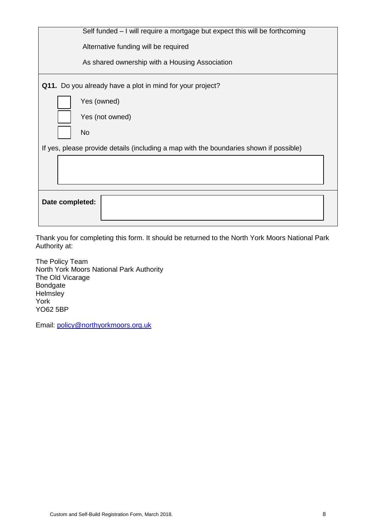| Self funded – I will require a mortgage but expect this will be forthcoming            |  |  |  |  |
|----------------------------------------------------------------------------------------|--|--|--|--|
| Alternative funding will be required                                                   |  |  |  |  |
| As shared ownership with a Housing Association                                         |  |  |  |  |
| Q11. Do you already have a plot in mind for your project?                              |  |  |  |  |
| Yes (owned)                                                                            |  |  |  |  |
| Yes (not owned)                                                                        |  |  |  |  |
| <b>No</b>                                                                              |  |  |  |  |
| If yes, please provide details (including a map with the boundaries shown if possible) |  |  |  |  |
|                                                                                        |  |  |  |  |
|                                                                                        |  |  |  |  |
| Date completed:                                                                        |  |  |  |  |

Thank you for completing this form. It should be returned to the North York Moors National Park Authority at:

The Policy Team North York Moors National Park Authority The Old Vicarage Bondgate **Helmsley** York YO62 5BP

Email: [policy@northyorkmoors.org.uk](mailto:policy@northyorkmoors.org.uk)